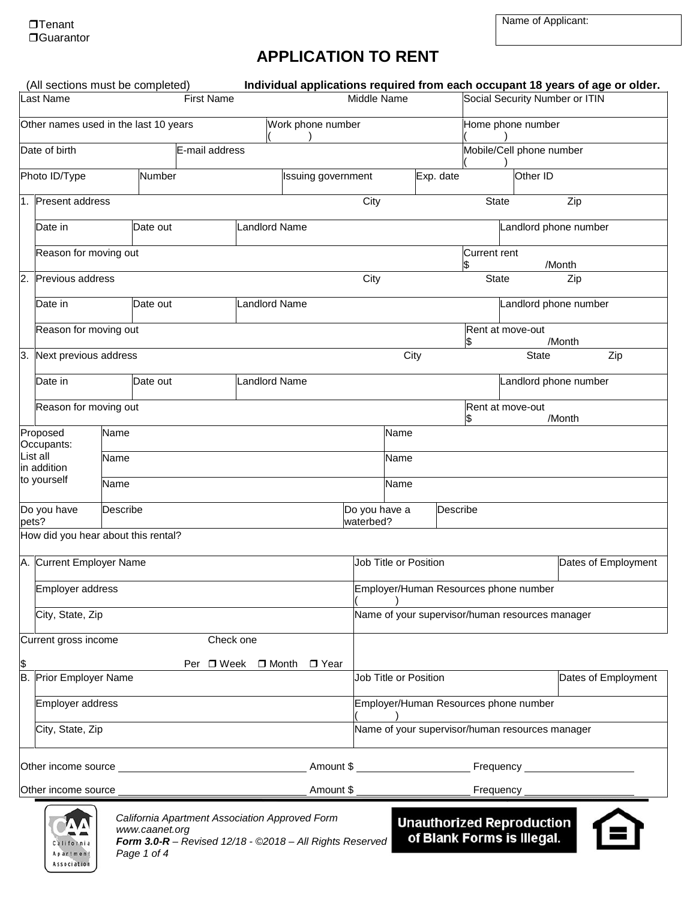# **APPLICATION TO RENT**

|                                                            | (All sections must be completed)<br>Last Name |          |                               | Individual applications required from each occupant 18 years of age or older.<br><b>First Name</b>         | Middle Name                                                                              |                              |                          |                                                         | Social Security Number or ITIN |               |                     |
|------------------------------------------------------------|-----------------------------------------------|----------|-------------------------------|------------------------------------------------------------------------------------------------------------|------------------------------------------------------------------------------------------|------------------------------|--------------------------|---------------------------------------------------------|--------------------------------|---------------|---------------------|
| Other names used in the last 10 years<br>Work phone number |                                               |          |                               | Home phone number                                                                                          |                                                                                          |                              |                          |                                                         |                                |               |                     |
| Date of birth<br>E-mail address                            |                                               |          |                               |                                                                                                            |                                                                                          |                              | Mobile/Cell phone number |                                                         |                                |               |                     |
|                                                            | Photo ID/Type                                 |          | Number                        | Issuing government                                                                                         |                                                                                          |                              |                          | Exp. date                                               | Other ID                       |               |                     |
|                                                            | 1. Present address                            |          |                               |                                                                                                            | City                                                                                     |                              |                          |                                                         | <b>State</b>                   | Zip           |                     |
|                                                            | Date in                                       |          | Date out                      | <b>Landlord Name</b>                                                                                       |                                                                                          |                              |                          |                                                         | Landlord phone number          |               |                     |
|                                                            | Reason for moving out                         |          |                               |                                                                                                            |                                                                                          |                              |                          | <b>Current rent</b>                                     |                                |               |                     |
| $\overline{2}$ .                                           | Previous address                              |          |                               |                                                                                                            | City                                                                                     |                              |                          | \$                                                      | <b>State</b>                   | /Month<br>Zip |                     |
|                                                            | Date in                                       |          | Date out                      | <b>Landlord Name</b>                                                                                       |                                                                                          |                              |                          |                                                         | Landlord phone number          |               |                     |
|                                                            | Reason for moving out                         |          |                               |                                                                                                            |                                                                                          |                              |                          |                                                         | Rent at move-out               |               |                     |
| 3.                                                         | Next previous address                         |          |                               |                                                                                                            |                                                                                          |                              | City                     |                                                         | <b>State</b>                   | /Month        | Zip                 |
|                                                            | Date in                                       |          | Date out                      | Landlord Name                                                                                              |                                                                                          |                              |                          |                                                         | Landlord phone number          |               |                     |
|                                                            | Reason for moving out                         |          |                               |                                                                                                            |                                                                                          |                              |                          |                                                         | Rent at move-out               |               |                     |
|                                                            | Proposed                                      | Name     |                               |                                                                                                            |                                                                                          | Name                         |                          |                                                         |                                | /Month        |                     |
|                                                            | Occupants:<br>List all                        | Name     |                               |                                                                                                            | Name                                                                                     |                              |                          |                                                         |                                |               |                     |
|                                                            | in addition<br>to yourself                    | Name     |                               | Name                                                                                                       |                                                                                          |                              |                          |                                                         |                                |               |                     |
|                                                            | Do you have                                   | Describe |                               |                                                                                                            | Do you have a                                                                            |                              |                          | Describe                                                |                                |               |                     |
| pets?                                                      | How did you hear about this rental?           |          |                               |                                                                                                            | waterbed?                                                                                |                              |                          |                                                         |                                |               |                     |
|                                                            | A. Current Employer Name                      |          |                               |                                                                                                            |                                                                                          | <b>Job Title or Position</b> |                          |                                                         |                                |               | Dates of Employment |
|                                                            | Employer address                              |          |                               |                                                                                                            |                                                                                          |                              |                          |                                                         |                                |               |                     |
|                                                            | City, State, Zip                              |          |                               |                                                                                                            | Employer/Human Resources phone number<br>Name of your supervisor/human resources manager |                              |                          |                                                         |                                |               |                     |
|                                                            | Current gross income                          |          |                               | Check one                                                                                                  |                                                                                          |                              |                          |                                                         |                                |               |                     |
|                                                            |                                               |          |                               | Per □ Week □ Month □ Year                                                                                  |                                                                                          |                              |                          |                                                         |                                |               |                     |
|                                                            | <b>B.</b> Prior Employer Name                 |          |                               |                                                                                                            |                                                                                          | Job Title or Position        |                          |                                                         |                                |               | Dates of Employment |
|                                                            | Employer address                              |          |                               |                                                                                                            |                                                                                          |                              |                          | Employer/Human Resources phone number                   |                                |               |                     |
|                                                            | City, State, Zip                              |          |                               |                                                                                                            |                                                                                          |                              |                          | Name of your supervisor/human resources manager         |                                |               |                     |
|                                                            |                                               |          |                               |                                                                                                            |                                                                                          |                              |                          |                                                         |                                |               |                     |
|                                                            | Other income source                           |          |                               | Amount \$                                                                                                  |                                                                                          |                              |                          |                                                         | Frequency                      |               |                     |
|                                                            |                                               |          |                               |                                                                                                            |                                                                                          |                              |                          |                                                         |                                |               |                     |
|                                                            | California<br>Apartment<br>Association        |          | www.caanet.org<br>Page 1 of 4 | California Apartment Association Approved Form<br>Form 3.0-R - Revised 12/18 - @2018 - All Rights Reserved |                                                                                          |                              |                          | Unauthorized Reproduction<br>of Blank Forms is Illegal. |                                |               |                     |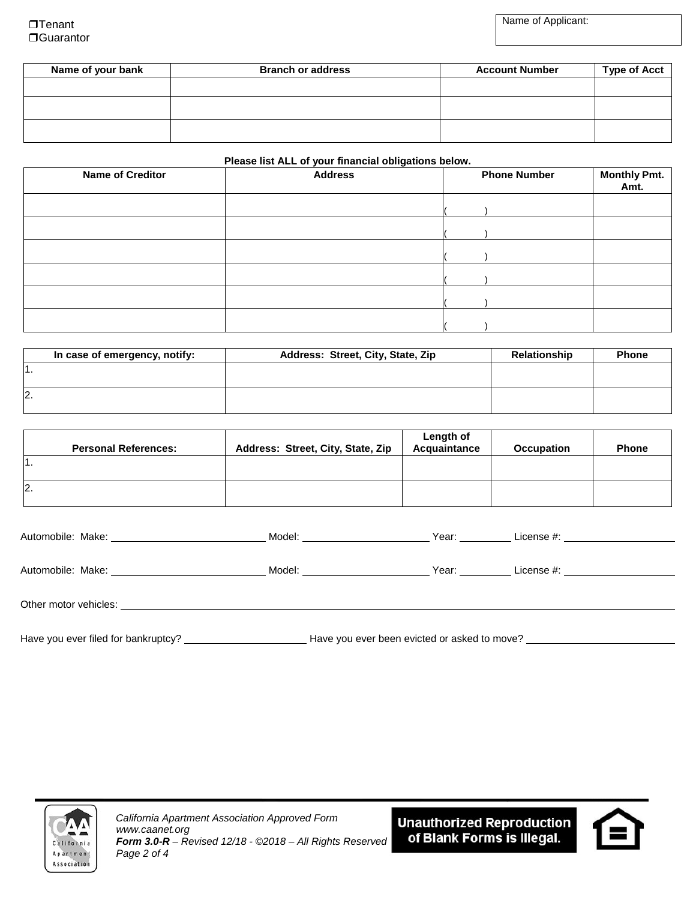$\Box$ Tenant □Guarantor Name of Applicant:

| Name of your bank | <b>Branch or address</b> | <b>Account Number</b> | <b>Type of Acct</b> |
|-------------------|--------------------------|-----------------------|---------------------|
|                   |                          |                       |                     |
|                   |                          |                       |                     |
|                   |                          |                       |                     |

#### **Please list ALL of your financial obligations below.**

| <b>Name of Creditor</b> | _<br><b>Address</b> | <b>Phone Number</b> | Monthly Pmt.<br>Amt. |
|-------------------------|---------------------|---------------------|----------------------|
|                         |                     |                     |                      |
|                         |                     |                     |                      |
|                         |                     |                     |                      |
|                         |                     |                     |                      |
|                         |                     |                     |                      |
|                         |                     |                     |                      |

| In case of emergency, notify: | Address: Street, City, State, Zip | <b>Relationship</b> | <b>Phone</b> |
|-------------------------------|-----------------------------------|---------------------|--------------|
|                               |                                   |                     |              |
|                               |                                   |                     |              |
| I2                            |                                   |                     |              |
|                               |                                   |                     |              |

| <b>Personal References:</b> | Address: Street, City, State, Zip | Length of<br>Acquaintance | <b>Occupation</b> | <b>Phone</b> |
|-----------------------------|-----------------------------------|---------------------------|-------------------|--------------|
| l1.                         |                                   |                           |                   |              |
| 2.                          |                                   |                           |                   |              |

| Automobile: Make: National Automobile: Make:                                                                                                                                                                                   | Model: _________________                     | Year: __ <b>________</b> | License #: ______________________ |
|--------------------------------------------------------------------------------------------------------------------------------------------------------------------------------------------------------------------------------|----------------------------------------------|--------------------------|-----------------------------------|
| Automobile: Make: <u>______________________</u>                                                                                                                                                                                | Model: <b>Example 2019</b>                   | Year: ________           | License #: ___________________    |
| Other motor vehicles: example and the state of the state of the state of the state of the state of the state of the state of the state of the state of the state of the state of the state of the state of the state of the st |                                              |                          |                                   |
| Have you ever filed for bankruptcy?                                                                                                                                                                                            | Have you ever been evicted or asked to move? |                          |                                   |



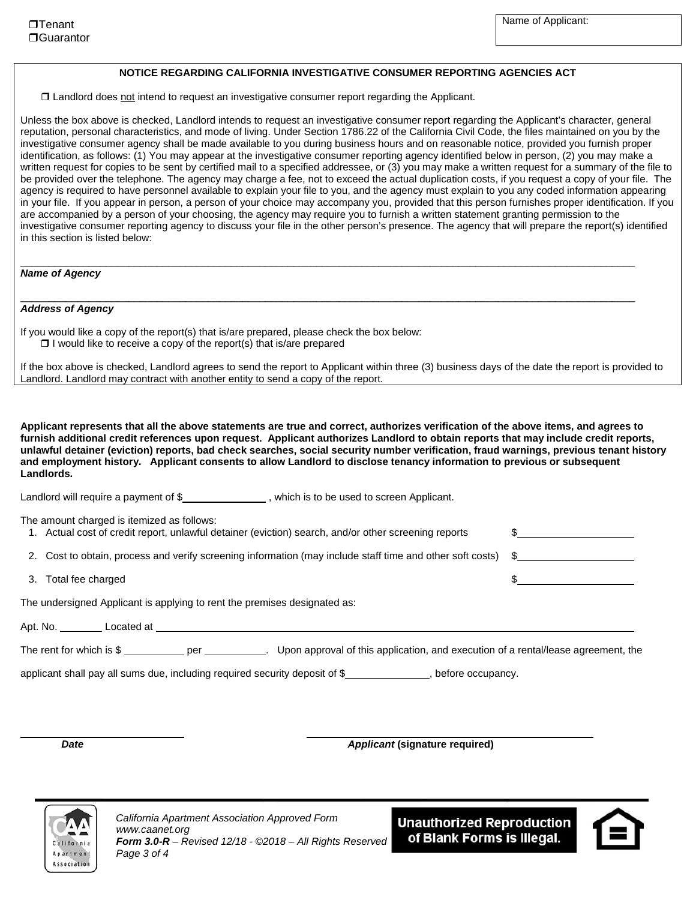#### **NOTICE REGARDING CALIFORNIA INVESTIGATIVE CONSUMER REPORTING AGENCIES ACT**

Landlord does not intend to request an investigative consumer report regarding the Applicant.

Unless the box above is checked, Landlord intends to request an investigative consumer report regarding the Applicant's character, general reputation, personal characteristics, and mode of living. Under Section 1786.22 of the California Civil Code, the files maintained on you by the investigative consumer agency shall be made available to you during business hours and on reasonable notice, provided you furnish proper identification, as follows: (1) You may appear at the investigative consumer reporting agency identified below in person, (2) you may make a written request for copies to be sent by certified mail to a specified addressee, or (3) you may make a written request for a summary of the file to be provided over the telephone. The agency may charge a fee, not to exceed the actual duplication costs, if you request a copy of your file. The agency is required to have personnel available to explain your file to you, and the agency must explain to you any coded information appearing in your file. If you appear in person, a person of your choice may accompany you, provided that this person furnishes proper identification. If you are accompanied by a person of your choosing, the agency may require you to furnish a written statement granting permission to the investigative consumer reporting agency to discuss your file in the other person's presence. The agency that will prepare the report(s) identified in this section is listed below:

\_\_\_\_\_\_\_\_\_\_\_\_\_\_\_\_\_\_\_\_\_\_\_\_\_\_\_\_\_\_\_\_\_\_\_\_\_\_\_\_\_\_\_\_\_\_\_\_\_\_\_\_\_\_\_\_\_\_\_\_\_\_\_\_\_\_\_\_\_\_\_\_\_\_\_\_\_\_\_\_\_\_\_\_\_\_\_\_\_\_\_\_\_\_\_\_\_\_\_\_\_\_\_\_\_\_\_\_

\_\_\_\_\_\_\_\_\_\_\_\_\_\_\_\_\_\_\_\_\_\_\_\_\_\_\_\_\_\_\_\_\_\_\_\_\_\_\_\_\_\_\_\_\_\_\_\_\_\_\_\_\_\_\_\_\_\_\_\_\_\_\_\_\_\_\_\_\_\_\_\_\_\_\_\_\_\_\_\_\_\_\_\_\_\_\_\_\_\_\_\_\_\_\_\_\_\_\_\_\_\_\_\_\_\_\_\_

#### *Name of Agency*

#### *Address of Agency*

If you would like a copy of the report(s) that is/are prepared, please check the box below:  $\Box$  I would like to receive a copy of the report(s) that is/are prepared

If the box above is checked, Landlord agrees to send the report to Applicant within three (3) business days of the date the report is provided to Landlord. Landlord may contract with another entity to send a copy of the report.

**Applicant represents that all the above statements are true and correct, authorizes verification of the above items, and agrees to furnish additional credit references upon request. Applicant authorizes Landlord to obtain reports that may include credit reports, unlawful detainer (eviction) reports, bad check searches, social security number verification, fraud warnings, previous tenant history and employment history. Applicant consents to allow Landlord to disclose tenancy information to previous or subsequent Landlords.** 

Landlord will require a payment of \$\_\_\_\_\_\_\_\_\_\_\_\_\_\_\_\_\_\_\_\_, which is to be used to screen Applicant.

| The amount charged is itemized as follows:<br>1. Actual cost of credit report, unlawful detainer (eviction) search, and/or other screening reports |  |
|----------------------------------------------------------------------------------------------------------------------------------------------------|--|
| 2. Cost to obtain, process and verify screening information (may include staff time and other soft costs) \$                                       |  |
| 3. Total fee charged                                                                                                                               |  |
| The undersigned Applicant is applying to rent the premises designated as:                                                                          |  |
|                                                                                                                                                    |  |
| The rent for which is $\$\$ per $\qquad \qquad$ .<br>Upon approval of this application, and execution of a rental/lease agreement, the             |  |
| applicant shall pay all sums due, including required security deposit of \$<br>before occupancy.                                                   |  |

֦

*Date Applicant* **(signature required)**